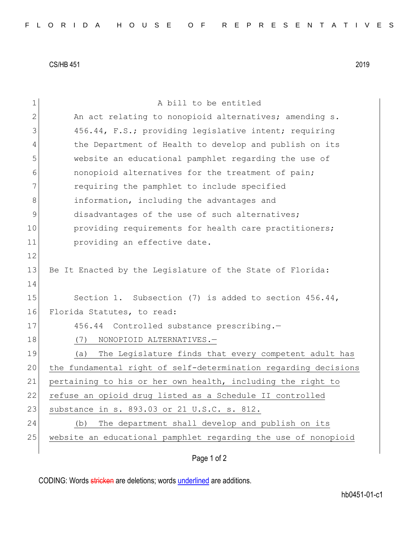CS/HB 451 2019

| 1             | A bill to be entitled                                           |
|---------------|-----------------------------------------------------------------|
| $\mathbf{2}$  | An act relating to nonopioid alternatives; amending s.          |
| 3             | 456.44, F.S.; providing legislative intent; requiring           |
| 4             | the Department of Health to develop and publish on its          |
| 5             | website an educational pamphlet regarding the use of            |
| 6             | nonopioid alternatives for the treatment of pain;               |
| 7             | requiring the pamphlet to include specified                     |
| 8             | information, including the advantages and                       |
| $\mathcal{G}$ | disadvantages of the use of such alternatives;                  |
| 10            | providing requirements for health care practitioners;           |
| 11            | providing an effective date.                                    |
| 12            |                                                                 |
| 13            | Be It Enacted by the Legislature of the State of Florida:       |
| 14            |                                                                 |
| 15            | Section 1. Subsection (7) is added to section $456.44$ ,        |
| 16            | Florida Statutes, to read:                                      |
| 17            | 456.44 Controlled substance prescribing.-                       |
| 18            | NONOPIOID ALTERNATIVES.-<br>(7)                                 |
| 19            | The Legislature finds that every competent adult has<br>(a)     |
| 20            | the fundamental right of self-determination regarding decisions |
| 21            | pertaining to his or her own health, including the right to     |
| 22            | refuse an opioid drug listed as a Schedule II controlled        |
| 23            | substance in s. 893.03 or 21 U.S.C. s. 812.                     |
| 24            | The department shall develop and publish on its<br>(b)          |
| 25            | website an educational pamphlet regarding the use of nonopioid  |
|               |                                                                 |

Page 1 of 2

CODING: Words stricken are deletions; words underlined are additions.